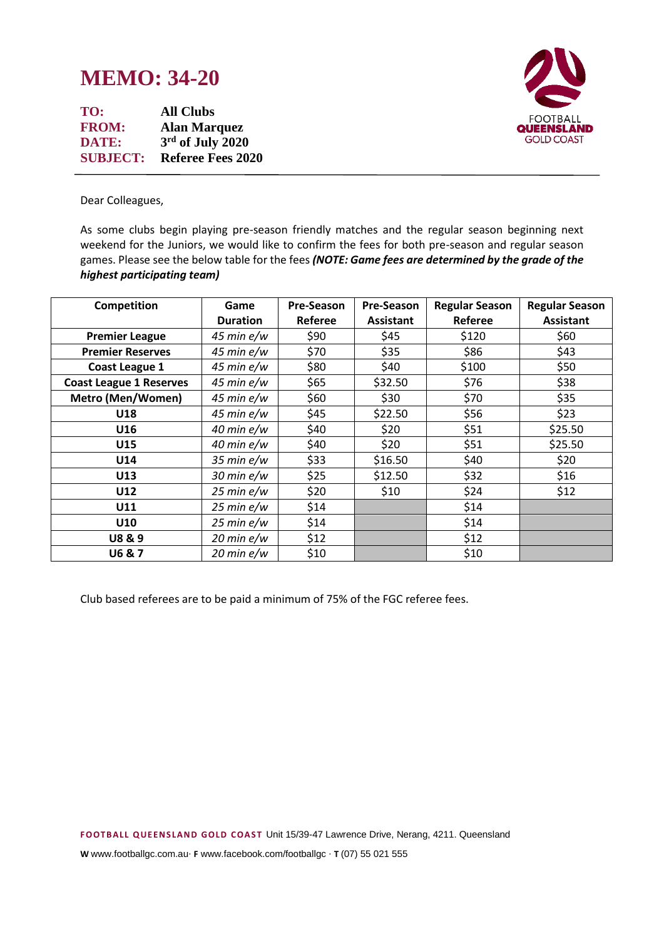## **MEMO: 34-20**

**TO: All Clubs FROM: Alan Marquez DATE: 3 rd of July 2020 SUBJECT: Referee Fees 2020**



Dear Colleagues,

As some clubs begin playing pre-season friendly matches and the regular season beginning next weekend for the Juniors, we would like to confirm the fees for both pre-season and regular season games. Please see the below table for the fees *(NOTE: Game fees are determined by the grade of the highest participating team)*

| Competition                    | Game                  | Pre-Season | <b>Pre-Season</b> | <b>Regular Season</b> | <b>Regular Season</b> |
|--------------------------------|-----------------------|------------|-------------------|-----------------------|-----------------------|
|                                | <b>Duration</b>       | Referee    | <b>Assistant</b>  | Referee               | <b>Assistant</b>      |
| <b>Premier League</b>          | $45$ min e/w          | \$90       | \$45              | \$120                 | \$60                  |
| <b>Premier Reserves</b>        | $45$ min $e/w$        | \$70       | \$35              | \$86                  | \$43                  |
| Coast League 1                 | $45$ min $e/w$        | \$80       | \$40              | \$100                 | \$50                  |
| <b>Coast League 1 Reserves</b> | $45$ min $e/w$        | \$65       | \$32.50           | \$76                  | \$38                  |
| <b>Metro (Men/Women)</b>       | $45$ min e/w          | \$60       | \$30              | \$70                  | \$35                  |
| U18                            | $45$ min $e/w$        | \$45       | \$22.50           | \$56                  | \$23                  |
| U16                            | $40$ min $e/w$        | \$40       | \$20              | \$51                  | \$25.50               |
| U15                            | $40$ min $e/w$        | \$40       | \$20              | \$51                  | \$25.50               |
| U14                            | $35$ min $e/w$        | \$33       | \$16.50           | \$40                  | \$20                  |
| U13                            | $30$ min $e/w$        | \$25       | \$12.50           | \$32                  | \$16                  |
| U12                            | $25$ min $e/w$        | \$20       | \$10              | \$24                  | \$12                  |
| U11                            | $25 \text{ min } e/w$ | \$14       |                   | \$14                  |                       |
| U10                            | $25 \text{ min } e/w$ | \$14       |                   | \$14                  |                       |
| <b>U8&amp;9</b>                | $20$ min $e/w$        | \$12       |                   | \$12                  |                       |
| <b>U6 &amp; 7</b>              | $20$ min $e/w$        | \$10       |                   | \$10                  |                       |

Club based referees are to be paid a minimum of 75% of the FGC referee fees.